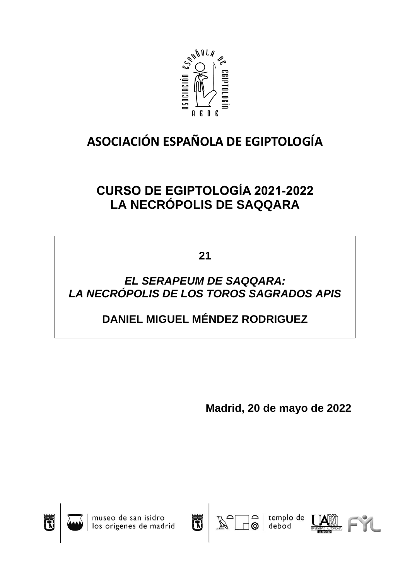

# **ASOCIACIÓN ESPAÑOLA DE EGIPTOLOGÍA**

## **CURSO DE EGIPTOLOGÍA 2021-2022 LA NECRÓPOLIS DE SAQQARA**

**21**

### *EL SERAPEUM DE SAQQARA: LA NECRÓPOLIS DE LOS TOROS SAGRADOS APIS*

### **DANIEL MIGUEL MÉNDEZ RODRIGUEZ**

**Madrid, 20 de mayo de 2022**



museo de san isidro<br>los orígenes de madrid





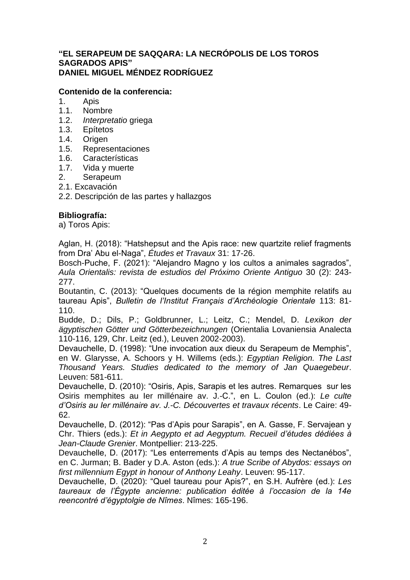#### **"EL SERAPEUM DE SAQQARA: LA NECRÓPOLIS DE LOS TOROS SAGRADOS APIS" DANIEL MIGUEL MÉNDEZ RODRÍGUEZ**

### **Contenido de la conferencia:**

- 1. Apis
- 1.1. Nombre
- 1.2. *Interpretatio* griega
- 1.3. Epítetos
- 1.4. Origen
- 1.5. Representaciones
- 1.6. Características
- 1.7. Vida y muerte
- 2. Serapeum
- 2.1. Excavación

2.2. Descripción de las partes y hallazgos

#### **Bibliografía:**

a) Toros Apis:

Aglan, H. (2018): "Hatshepsut and the Apis race: new quartzite relief fragments from Dra' Abu el-Naga", *Études et Travaux* 31: 17-26.

Bosch-Puche, F. (2021): "Alejandro Magno y los cultos a animales sagrados", *Aula Orientalis: revista de estudios del Próximo Oriente Antiguo* 30 (2): 243- 277.

Boutantin, C. (2013): "Quelques documents de la région memphite relatifs au taureau Apis", *Bulletin de l'Institut Français d'Archéologie Orientale* 113: 81- 110.

Budde, D.; Dils, P.; Goldbrunner, L.; Leitz, C.; Mendel, D. *Lexikon der ägyptischen Götter und Götterbezeichnungen* (Orientalia Lovaniensia Analecta 110-116, 129, Chr. Leitz (ed.), Leuven 2002-2003).

Devauchelle, D. (1998): "Une invocation aux dieux du Serapeum de Memphis", en W. Glarysse, A. Schoors y H. Willems (eds.): *Egyptian Religion. The Last Thousand Years. Studies dedicated to the memory of Jan Quaegebeur*. Leuven: 581-611.

Devauchelle, D. (2010): "Osiris, Apis, Sarapis et les autres. Remarques sur les Osiris memphites au Ier millénaire av. J.-C.", en L. Coulon (ed.): *Le culte d'Osiris au Ier millénaire av. J.-C. Découvertes et travaux récents*. Le Caire: 49- 62.

Devauchelle, D. (2012): "Pas d'Apis pour Sarapis", en A. Gasse, F. Servajean y Chr. Thiers (eds.): *Et in Aegypto et ad Aegyptum. Recueil d'études dédiées à Jean-Claude Grenier*. Montpellier: 213-225.

Devauchelle, D. (2017): "Les enterrements d'Apis au temps des Nectanébos", en C. Jurman; B. Bader y D.A. Aston (eds.): *A true Scribe of Abydos: essays on first millennium Egypt in honour of Anthony Leahy*. Leuven: 95-117.

Devauchelle, D. (2020): "Quel taureau pour Apis?", en S.H. Aufrère (ed.): *Les taureaux de l'Égypte ancienne: publication éditée à l'occasion de la 14e reencontré d'égyptolgie de Nîmes*. Nîmes: 165-196.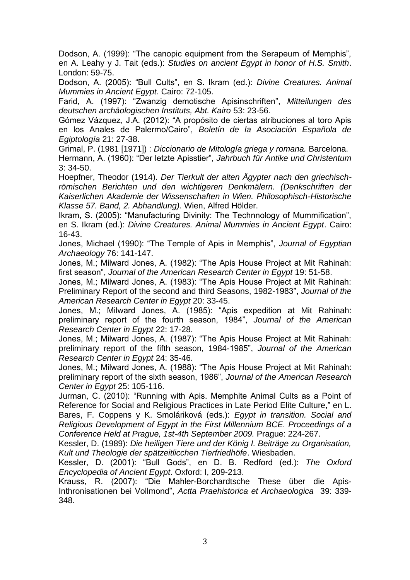Dodson, A. (1999): "The canopic equipment from the Serapeum of Memphis", en A. Leahy y J. Tait (eds.): *Studies on ancient Egypt in honor of H.S. Smith*. London: 59-75.

Dodson, A. (2005): "Bull Cults", en S. Ikram (ed.): *Divine Creatures. Animal Mummies in Ancient Egypt*. Cairo: 72-105.

Farid, A. (1997): "Zwanzig demotische Apisinschriften", *Mitteilungen des deutschen archäologischen Instituts, Abt. Kairo* 53: 23-56.

Gómez Vázquez, J.A. (2012): "A propósito de ciertas atribuciones al toro Apis en los Anales de Palermo/Cairo", *Boletín de la Asociación Española de Egiptología* 21: 27-38.

Grimal, P. (1981 [1971]) : *Diccionario de Mitología griega y romana.* Barcelona.

Hermann, A. (1960): "Der letzte Apisstier", *Jahrbuch für Antike und Christentum*  3: 34-50.

Hoepfner, Theodor (1914). *Der Tierkult der alten Ägypter nach den griechischrömischen Berichten und den wichtigeren Denkmälern. (Denkschriften der Kaiserlichen Akademie der Wissenschaften in Wien. Philosophisch-Historische Klasse 57. Band, 2. Abhandlung).* Wien, Alfred Hölder.

Ikram, S. (2005): "Manufacturing Divinity: The Technnology of Mummification", en S. Ikram (ed.): *Divine Creatures. Animal Mummies in Ancient Egypt*. Cairo: 16-43.

Jones, Michael (1990): "The Temple of Apis in Memphis", *Journal of Egyptian Archaeology* 76: 141-147.

Jones, M.; Milward Jones, A. (1982): "The Apis House Project at Mit Rahinah: first season", *Journal of the American Research Center in Egypt* 19: 51-58.

Jones, M.; Milward Jones, A. (1983): "The Apis House Project at Mit Rahinah: Preliminary Report of the second and third Seasons, 1982-1983", *Journal of the American Research Center in Egypt* 20: 33-45.

Jones, M.; Milward Jones, A. (1985): "Apis expedition at Mit Rahinah: preliminary report of the fourth season, 1984", *Journal of the American Research Center in Egypt* 22: 17-28.

Jones, M.; Milward Jones, A. (1987): "The Apis House Project at Mit Rahinah: preliminary report of the fifth season, 1984-1985", *Journal of the American Research Center in Egypt* 24: 35-46.

Jones, M.; Milward Jones, A. (1988): "The Apis House Project at Mit Rahinah: preliminary report of the sixth season, 1986", *Journal of the American Research Center in Egypt* 25: 105-116.

Jurman, C. (2010): "Running with Apis. Memphite Animal Cults as a Point of Reference for Social and Religious Practices in Late Period Elite Culture," en L. Bares, F. Coppens y K. Smoláriková (eds.): *Egypt in transition. Social and Religious Development of Egypt in the First Millennium BCE. Proceedings of a Conference Held at Prague, 1st-4th September 2009.* Prague: 224-267.

Kessler, D. (1989): *Die heiligen Tiere und der König I. Beiträge zu Organisation, Kult und Theologie der spätzeitlicchen Tierfriedhöfe*. Wiesbaden.

Kessler, D. (2001): "Bull Gods", en D. B. Redford (ed.): *The Oxford Encyclopedia of Ancient Egypt*. Oxford: I, 209-213.

Krauss, R. (2007): "Die Mahler-Borchardtsche These über die Apis-Inthronisationen bei Vollmond", *Actta Praehistorica et Archaeologica* 39: 339- 348.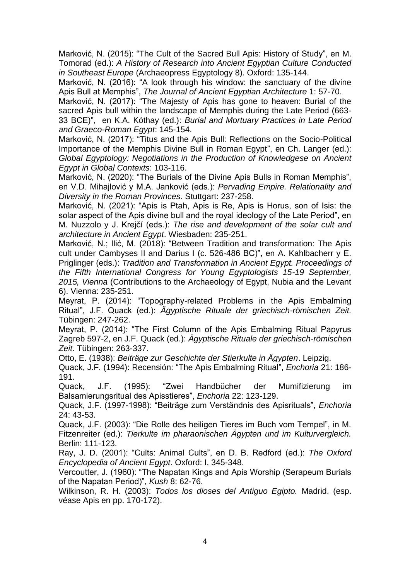Marković, N. (2015): "The Cult of the Sacred Bull Apis: History of Study", en M. Tomorad (ed.): *A History of Research into Ancient Egyptian Culture Conducted in Southeast Europe* (Archaeopress Egyptology 8). Oxford: 135-144.

Marković, N. (2016): "A look through his window: the sanctuary of the divine Apis Bull at Memphis", *The Journal of Ancient Egyptian Architecture* 1: 57-70.

Marković, N. (2017): "The Majesty of Apis has gone to heaven: Burial of the sacred Apis bull within the landscape of Memphis during the Late Period (663- 33 BCE)", en K.A. Kóthay (ed.): *Burial and Mortuary Practices in Late Period and Graeco-Roman Egypt*: 145-154.

Marković, N. (2017): "Titus and the Apis Bull: Reflections on the Socio-Political Importance of the Memphis Divine Bull in Roman Egypt", en Ch. Langer (ed.): *Global Egyptology: Negotiations in the Production of Knowledgese on Ancient Egypt in Global Contexts*: 103-116.

Marković, N. (2020): "The Burials of the Divine Apis Bulls in Roman Memphis", en V.D. Mihajlović y M.A. Janković (eds.): *Pervading Empire. Relationality and Diversity in the Roman Provinces*. Stuttgart: 237-258.

Marković, N. (2021): "Apis is Ptah, Apis is Re, Apis is Horus, son of Isis: the solar aspect of the Apis divine bull and the royal ideology of the Late Period", en M. Nuzzolo y J. Krejčí (eds.): *The rise and development of the solar cult and architecture in Ancient Egypt*. Wiesbaden: 235-251.

Marković, N.; Ilić, M. (2018): "Between Tradition and transformation: The Apis cult under Cambyses II and Darius I (c. 526-486 BC)", en A. Kahlbacherr y E. Priglinger (eds.): *Tradition and Transformation in Ancient Egypt. Proceedings of the Fifth International Congress for Young Egyptologists 15-19 September, 2015, Vienna* (Contributions to the Archaeology of Egypt, Nubia and the Levant 6). Vienna: 235-251.

Meyrat, P. (2014): "Topography-related Problems in the Apis Embalming Ritual", J.F. Quack (ed.): *Ägyptische Rituale der griechisch-römischen Zeit.* Tübingen: 247-262.

Meyrat, P. (2014): "The First Column of the Apis Embalming Ritual Papyrus Zagreb 597-2, en J.F. Quack (ed.): *Ägyptische Rituale der griechisch-römischen Zeit*. Tübingen: 263-337.

Otto, E. (1938): *Beiträge zur Geschichte der Stierkulte in Ägypten*. Leipzig.

Quack, J.F. (1994): Recensión: "The Apis Embalming Ritual", *Enchoria* 21: 186- 191.

Quack, J.F. (1995): "Zwei Handbücher der Mumifizierung im Balsamierungsritual des Apisstieres", *Enchoria* 22: 123-129.

Quack, J.F. (1997-1998): "Beiträge zum Verständnis des Apisrituals", *Enchoria*  24: 43-53.

Quack, J.F. (2003): "Die Rolle des heiligen Tieres im Buch vom Tempel", in M. Fitzenreiter (ed.): *Tierkulte im pharaonischen Ägypten und im Kulturvergleich.* Berlin: 111-123.

Ray, J. D. (2001): "Cults: Animal Cults", en D. B. Redford (ed.): *The Oxford Encyclopedia of Ancient Egypt*. Oxford: I, 345-348.

Vercoutter, J. (1960): "The Napatan Kings and Apis Worship (Serapeum Burials of the Napatan Period)", *Kush* 8: 62-76.

Wilkinson, R. H. (2003): *Todos los dioses del Antiguo Egipto.* Madrid. (esp. véase Apis en pp. 170-172).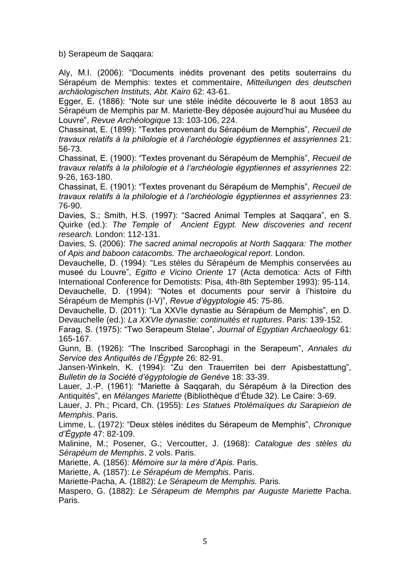b) Serapeum de Saqqara:

Aly, M.I. (2006): "Documents inédits provenant des petits souterrains du Sérapéum de Memphis: textes et commentaire, *Mitteilungen des deutschen archäologischen Instituts, Abt. Kairo* 62: 43-61.

Egger, E. (1886): "Note sur une stéle inédite découverte le 8 aout 1853 au Sérapéum de Memphis par M. Mariette-Bey déposée aujourd'hui au Muséee du Louvre", *Revue Archéologique* 13: 103-106, 224.

Chassinat, E. (1899): "Textes provenant du Sérapéum de Memphis", *Recueil de travaux relatifs à la philologie et à l'archéologie égyptiennes et assyriennes* 21: 56-73.

Chassinat, E. (1900): "Textes provenant du Sérapéum de Memphis", *Recueil de travaux relatifs à la philologie et à l'archéologie égyptiennes et assyriennes* 22: 9-26, 163-180.

Chassinat, E. (1901): "Textes provenant du Sérapéum de Memphis", *Recueil de travaux relatifs à la philologie et à l'archéologie égyptiennes et assyriennes* 23: 76-90.

Davies, S.; Smith, H.S. (1997): "Sacred Animal Temples at Saqqara", en S. Quirke (ed.): *The Temple of Ancient Egypt. New discoveries and recent research.* London: 112-131.

Davies, S. (2006): *The sacred animal necropolis at North Saqqara: The mother of Apis and baboon catacombs. The archaeological report*. London.

Devauchelle, D. (1994): "Les stéles du Sérapéum de Memphis conservées au museé du Louvre", *Egitto e Vicino Oriente* 17 (Acta demotica: Acts of Fifth International Conference for Demotists: Pisa, 4th-8th September 1993): 95-114. Devauchelle, D. (1994): "Notes et documents pour servir à l'histoire du Sérapéum de Memphis (I-V)", *Revue d'égyptologie* 45: 75-86.

Devauchelle, D. (2011): "La XXVIe dynastie au Sérapéum de Memphis", en D. Devauchelle (ed.): *La XXVIe dynastie: continuités et ruptures*. Paris: 139-152.

Farag, S. (1975): "Two Serapeum Stelae", *Journal of Egyptian Archaeology* 61: 165-167.

Gunn, B. (1926): "The Inscribed Sarcophagi in the Serapeum", *Annales du Service des Antiquités de l'Égypte* 26: 82-91.

Jansen-Winkeln, K. (1994): "Zu den Trauerriten bei derr Apisbestattung", *Bulletin de la Société d'égyptologie de Genève* 18: 33-39.

Lauer, J.-P. (1961): "Mariette à Saqqarah, du Sérapéum à la Direction des Antiquités", en *Mélanges Mariette* (Bibliothèque d'Étude 32). Le Caire: 3-69.

Lauer, J. Ph.; Picard, Ch. (1955): *Les Statues Ptolémaïques du Sarapieion de Memphis*. Paris.

Limme, L. (1972): "Deux stèles inédites du Sérapeum de Memphis", *Chronique d'Égypte* 47: 82-109.

Malinine, M.; Posener, G.; Vercoutter, J. (1968): *Catalogue des stèles du Sérapéum de Memphis*. 2 vols. Paris.

Mariette, A. (1856): *Mémoire sur la mère d'Apis.* Paris.

Mariette, A. (1857): *Le Sérapéum de Memphis.* Paris.

Mariette-Pacha, A. (1882): *Le Sérapeum de Memphis.* Paris.

Maspero, G. (1882): *Le Sérapeum de Memphis par Auguste Mariette* Pacha. Paris.